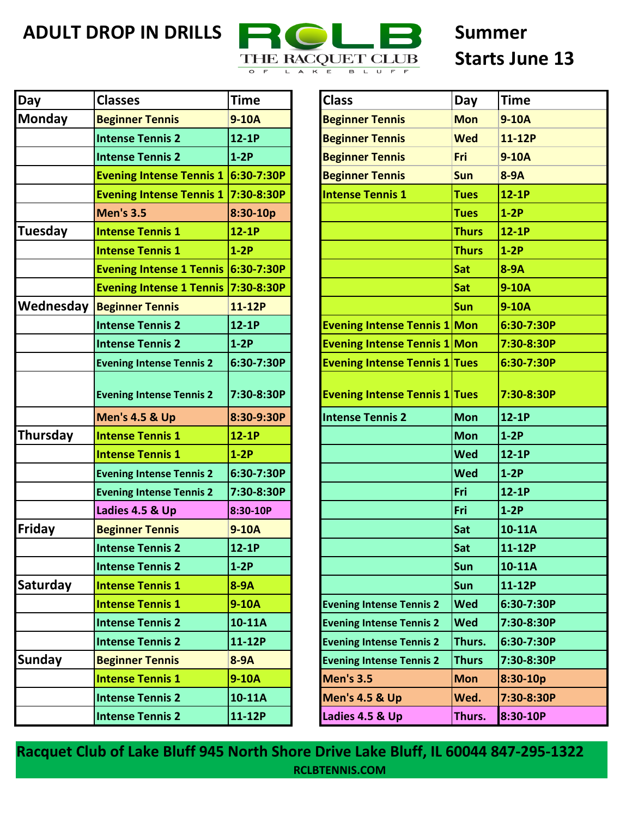

## **Starts June 13**

| <b>Day</b>     | <b>Classes</b>                      | <b>Time</b> | <b>Class</b>                         | Day          | <b>Time</b> |
|----------------|-------------------------------------|-------------|--------------------------------------|--------------|-------------|
| <b>Monday</b>  | <b>Beginner Tennis</b>              | $9-10A$     | <b>Beginner Tennis</b>               | <b>Mon</b>   | $9-10A$     |
|                | <b>Intense Tennis 2</b>             | $12-1P$     | <b>Beginner Tennis</b>               | <b>Wed</b>   | 11-12P      |
|                | <b>Intense Tennis 2</b>             | $1-2P$      | <b>Beginner Tennis</b>               | Fri          | $9-10A$     |
|                | <b>Evening Intense Tennis 1</b>     | 6:30-7:30P  | <b>Beginner Tennis</b>               | Sun          | $8-9A$      |
|                | <b>Evening Intense Tennis 1</b>     | 7:30-8:30P  | <b>Intense Tennis 1</b>              | <b>Tues</b>  | $12-1P$     |
|                | <b>Men's 3.5</b>                    | 8:30-10p    |                                      | <b>Tues</b>  | $1-2P$      |
| <b>Tuesday</b> | <b>Intense Tennis 1</b>             | $12-1P$     |                                      | <b>Thurs</b> | $12-1P$     |
|                | <b>Intense Tennis 1</b>             | $1-2P$      |                                      | <b>Thurs</b> | $1-2P$      |
|                | Evening Intense 1 Tennis 6:30-7:30P |             |                                      | Sat          | $8-9A$      |
|                | Evening Intense 1 Tennis 7:30-8:30P |             |                                      | Sat          | 9-10A       |
| Wednesday      | <b>Beginner Tennis</b>              | 11-12P      |                                      | Sun          | $9-10A$     |
|                | <b>Intense Tennis 2</b>             | $12-1P$     | <b>Evening Intense Tennis 1 Mon</b>  |              | 6:30-7:30P  |
|                | <b>Intense Tennis 2</b>             | $1-2P$      | <b>Evening Intense Tennis 1 Mon</b>  |              | 7:30-8:30P  |
|                | <b>Evening Intense Tennis 2</b>     | 6:30-7:30P  | <b>Evening Intense Tennis 1 Tues</b> |              | 6:30-7:30P  |
|                | <b>Evening Intense Tennis 2</b>     | 7:30-8:30P  | <b>Evening Intense Tennis 1 Tues</b> |              | 7:30-8:30P  |
|                | <b>Men's 4.5 &amp; Up</b>           | 8:30-9:30P  | <b>Intense Tennis 2</b>              | <b>Mon</b>   | $12-1P$     |
| Thursday       | <b>Intense Tennis 1</b>             | $12-1P$     |                                      | <b>Mon</b>   | $1-2P$      |
|                | <b>Intense Tennis 1</b>             | $1-2P$      |                                      | <b>Wed</b>   | $12-1P$     |
|                | <b>Evening Intense Tennis 2</b>     | 6:30-7:30P  |                                      | <b>Wed</b>   | $1-2P$      |
|                | <b>Evening Intense Tennis 2</b>     | 7:30-8:30P  |                                      | Fri          | $12-1P$     |
|                | Ladies 4.5 & Up                     | 8:30-10P    |                                      | Fri          | $1-2P$      |
| <b>Friday</b>  | <b>Beginner Tennis</b>              | $9-10A$     |                                      | Sat          | 10-11A      |
|                | <b>Intense Tennis 2</b>             | $12-1P$     |                                      | Sat          | 11-12P      |
|                | <b>Intense Tennis 2</b>             | $1-2P$      |                                      | Sun          | 10-11A      |
| Saturday       | <b>Intense Tennis 1</b>             | $8-9A$      |                                      | <b>Sun</b>   | 11-12P      |
|                | <b>Intense Tennis 1</b>             | $9-10A$     | <b>Evening Intense Tennis 2</b>      | <b>Wed</b>   | 6:30-7:30P  |
|                | <b>Intense Tennis 2</b>             | 10-11A      | <b>Evening Intense Tennis 2</b>      | <b>Wed</b>   | 7:30-8:30P  |
|                | <b>Intense Tennis 2</b>             | 11-12P      | <b>Evening Intense Tennis 2</b>      | Thurs.       | 6:30-7:30P  |
| <b>Sunday</b>  | <b>Beginner Tennis</b>              | $8-9A$      | <b>Evening Intense Tennis 2</b>      | <b>Thurs</b> | 7:30-8:30P  |
|                | <b>Intense Tennis 1</b>             | $9-10A$     | <b>Men's 3.5</b>                     | <b>Mon</b>   | $8:30-10p$  |
|                | <b>Intense Tennis 2</b>             | 10-11A      | <b>Men's 4.5 &amp; Up</b>            | Wed.         | 7:30-8:30P  |
|                | <b>Intense Tennis 2</b>             | 11-12P      | Ladies 4.5 & Up                      | Thurs.       | 8:30-10P    |
|                |                                     |             |                                      |              |             |

| <b>Classes</b>                      | <b>Time</b> | <b>Class</b>                         | Day          | <b>Time</b> |
|-------------------------------------|-------------|--------------------------------------|--------------|-------------|
| <b>Beginner Tennis</b>              | $9-10A$     | <b>Beginner Tennis</b>               | <b>Mon</b>   | $9-10A$     |
| <b>Intense Tennis 2</b>             | $12-1P$     | <b>Beginner Tennis</b>               | <b>Wed</b>   | 11-12P      |
| <b>Intense Tennis 2</b>             | $1-2P$      | <b>Beginner Tennis</b>               | Fri          | $9-10A$     |
| Evening Intense Tennis 1 6:30-7:30P |             | <b>Beginner Tennis</b>               | Sun          | $8-9A$      |
| Evening Intense Tennis 1 7:30-8:30P |             | <b>Intense Tennis 1</b>              | <b>Tues</b>  | $12-1P$     |
| <b>Men's 3.5</b>                    | 8:30-10p    |                                      | <b>Tues</b>  | $1-2P$      |
| <b>Intense Tennis 1</b>             | $12-1P$     |                                      | <b>Thurs</b> | $12-1P$     |
| <b>Intense Tennis 1</b>             | $1-2P$      |                                      | <b>Thurs</b> | $1-2P$      |
| Evening Intense 1 Tennis 6:30-7:30P |             |                                      | Sat          | $8-9A$      |
| Evening Intense 1 Tennis 7:30-8:30P |             |                                      | Sat          | $9-10A$     |
| <b>Beginner Tennis</b>              | 11-12P      |                                      | Sun          | $9-10A$     |
| <b>Intense Tennis 2</b>             | $12-1P$     | <b>Evening Intense Tennis 1 Mon</b>  |              | 6:30-7:30P  |
| <b>Intense Tennis 2</b>             | $1-2P$      | <b>Evening Intense Tennis 1 Mon</b>  |              | 7:30-8:30P  |
| <b>Evening Intense Tennis 2</b>     | 6:30-7:30P  | <b>Evening Intense Tennis 1 Tues</b> |              | 6:30-7:30P  |
| <b>Evening Intense Tennis 2</b>     | 7:30-8:30P  | <b>Evening Intense Tennis 1 Tues</b> |              | 7:30-8:30P  |
| <b>Men's 4.5 &amp; Up</b>           | 8:30-9:30P  | <b>Intense Tennis 2</b>              | <b>Mon</b>   | $12-1P$     |
| <b>Intense Tennis 1</b>             | $12-1P$     |                                      | <b>Mon</b>   | $1-2P$      |
| <b>Intense Tennis 1</b>             | $1-2P$      |                                      | <b>Wed</b>   | $12-1P$     |
| <b>Evening Intense Tennis 2</b>     | 6:30-7:30P  |                                      | Wed          | $1-2P$      |
| <b>Evening Intense Tennis 2</b>     | 7:30-8:30P  |                                      | Fri          | $12-1P$     |
| Ladies 4.5 & Up                     | 8:30-10P    |                                      | Fri          | $1-2P$      |
| <b>Beginner Tennis</b>              | $9-10A$     |                                      | Sat          | 10-11A      |
| <b>Intense Tennis 2</b>             | $12-1P$     |                                      | <b>Sat</b>   | 11-12P      |
| <b>Intense Tennis 2</b>             | $1-2P$      |                                      | Sun          | 10-11A      |
| <b>Intense Tennis 1</b>             | $8-9A$      |                                      | <b>Sun</b>   | 11-12P      |
| <b>Intense Tennis 1</b>             | 9-10A       | <b>Evening Intense Tennis 2</b>      | <b>Wed</b>   | 6:30-7:30P  |
| <b>Intense Tennis 2</b>             | $10-11A$    | <b>Evening Intense Tennis 2</b>      | <b>Wed</b>   | 7:30-8:30P  |
| <b>Intense Tennis 2</b>             | 11-12P      | <b>Evening Intense Tennis 2</b>      | Thurs.       | 6:30-7:30P  |
| <b>Beginner Tennis</b>              | $8-9A$      | <b>Evening Intense Tennis 2</b>      | <b>Thurs</b> | 7:30-8:30P  |
| <b>Intense Tennis 1</b>             | 9-10A       | <b>Men's 3.5</b>                     | <b>Mon</b>   | 8:30-10p    |
| <b>Intense Tennis 2</b>             | 10-11A      | <b>Men's 4.5 &amp; Up</b>            | Wed.         | 7:30-8:30P  |
| <b>Intense Tennis 2</b>             | 11-12P      | Ladies 4.5 & Up                      | Thurs.       | 8:30-10P    |

**Racquet Club of Lake Bluff 945 North Shore Drive Lake Bluff, IL 60044 847-295-1322 RCLBTENNIS.COM**